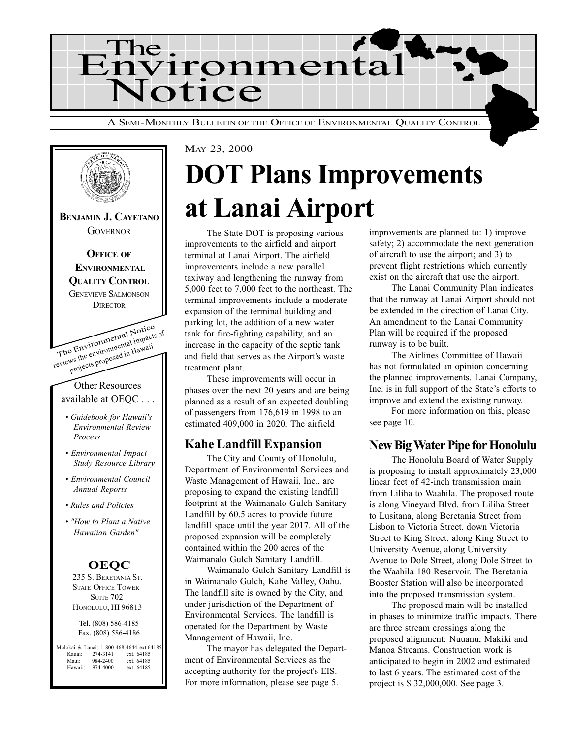



## MAY 23, 2000 DOT Plans Improvements at Lanai Airport

The State DOT is proposing various improvements to the airfield and airport terminal at Lanai Airport. The airfield improvements include a new parallel taxiway and lengthening the runway from 5,000 feet to 7,000 feet to the northeast. The terminal improvements include a moderate expansion of the terminal building and parking lot, the addition of a new water tank for fire-fighting capability, and an increase in the capacity of the septic tank and field that serves as the Airport's waste treatment plant.

These improvements will occur in phases over the next 20 years and are being planned as a result of an expected doubling of passengers from 176,619 in 1998 to an estimated 409,000 in 2020. The airfield

#### Kahe Landfill Expansion

The City and County of Honolulu, Department of Environmental Services and Waste Management of Hawaii, Inc., are proposing to expand the existing landfill footprint at the Waimanalo Gulch Sanitary Landfill by 60.5 acres to provide future landfill space until the year 2017. All of the proposed expansion will be completely contained within the 200 acres of the Waimanalo Gulch Sanitary Landfill.

Waimanalo Gulch Sanitary Landfill is in Waimanalo Gulch, Kahe Valley, Oahu. The landfill site is owned by the City, and under jurisdiction of the Department of Environmental Services. The landfill is operated for the Department by Waste Management of Hawaii, Inc.

The mayor has delegated the Department of Environmental Services as the accepting authority for the project's EIS. For more information, please see page 5.

improvements are planned to: 1) improve safety; 2) accommodate the next generation of aircraft to use the airport; and 3) to prevent flight restrictions which currently exist on the aircraft that use the airport.

The Lanai Community Plan indicates that the runway at Lanai Airport should not be extended in the direction of Lanai City. An amendment to the Lanai Community Plan will be required if the proposed runway is to be built.

The Airlines Committee of Hawaii has not formulated an opinion concerning the planned improvements. Lanai Company, Inc. is in full support of the State's efforts to improve and extend the existing runway.

For more information on this, please see page 10.

### New Big Water Pipe for Honolulu

The Honolulu Board of Water Supply is proposing to install approximately 23,000 linear feet of 42-inch transmission main from Liliha to Waahila. The proposed route is along Vineyard Blvd. from Liliha Street to Lusitana, along Beretania Street from Lisbon to Victoria Street, down Victoria Street to King Street, along King Street to University Avenue, along University Avenue to Dole Street, along Dole Street to the Waahila 180 Reservoir. The Beretania Booster Station will also be incorporated into the proposed transmission system.

The proposed main will be installed in phases to minimize traffic impacts. There are three stream crossings along the proposed alignment: Nuuanu, Makiki and Manoa Streams. Construction work is anticipated to begin in 2002 and estimated to last 6 years. The estimated cost of the project is \$ 32,000,000. See page 3.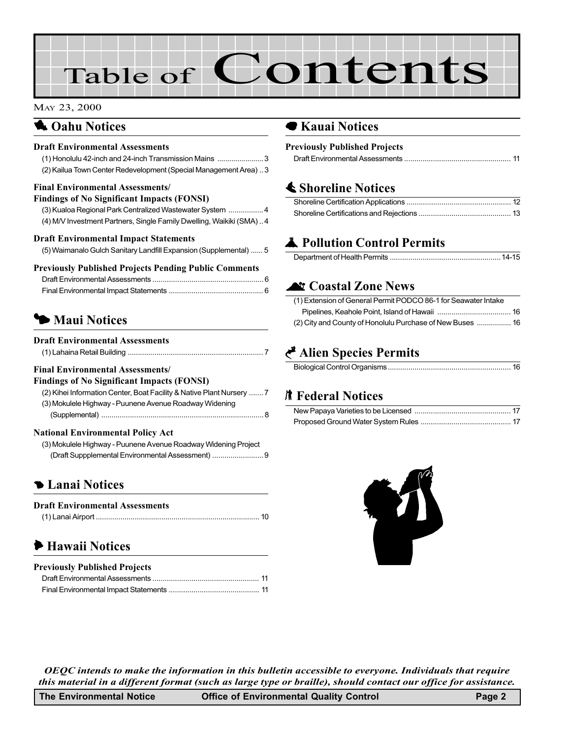# Table of Contents

#### MAY 23, 2000

### **1** Oahu Notices

#### Draft Environmental Assessments

| (1) Honolulu 42-inch and 24-inch Transmission Mains 3            |  |
|------------------------------------------------------------------|--|
| (2) Kailua Town Center Redevelopment (Special Management Area) 3 |  |

#### Final Environmental Assessments/

| <b>Findings of No Significant Impacts (FONSI)</b> |  |  |  |
|---------------------------------------------------|--|--|--|
|---------------------------------------------------|--|--|--|

| (3) Kualoa Regional Park Centralized Wastewater System 4            |
|---------------------------------------------------------------------|
| (4) M/V Investment Partners, Single Family Dwelling, Waikiki (SMA)4 |

#### Draft Environmental Impact Statements

#### Previously Published Projects Pending Public Comments

## **3 [Maui Notices](#page-6-0)**

#### Draft Environmental Assessments

|--|--|--|

#### Final Environmental Assessments/

#### Findings of No Significant Impacts (FONSI) [\(2\) Kihei Information Center, Boat Facility & Native Plant Nursery](#page-6-0) ....... 7 [\(3\) Mokulele Highway - Puunene Avenue Roadway Widening](#page-7-0)

(Supplemental) ............................................................................... 8

#### National Environmental Policy Act

| (3) Mokulele Highway - Puunene Avenue Roadway Widening Project |  |
|----------------------------------------------------------------|--|
|                                                                |  |

## **5 Lanai Notices**

| <b>Draft Environmental Assessments</b> |  |
|----------------------------------------|--|
|                                        |  |

## 6 Hawaii Notices

| <b>Previously Published Projects</b> |  |
|--------------------------------------|--|
|                                      |  |
|                                      |  |

### ● Kauai Notices

#### Previously Published Projects

### **≰ [Shoreline Notices](#page-11-0)**

## **A** Pollution Control Permits

### **Lt Coastal Zone News**

| (1) Extension of General Permit PODCO 86-1 for Seawater Intake |  |
|----------------------------------------------------------------|--|
|                                                                |  |
| (2) City and County of Honolulu Purchase of New Buses  16      |  |

## Alien Species Permits

|--|

### **K** [Federal Notices](#page-16-0)



OEQC intends to make the information in this bulletin accessible to everyone. Individuals that require this material in a different format (such as large type or braille), should contact our office for assistance.

| The Environmental Notice | <b>Office of Environmental Quality Control</b> | Page 2 |
|--------------------------|------------------------------------------------|--------|
|--------------------------|------------------------------------------------|--------|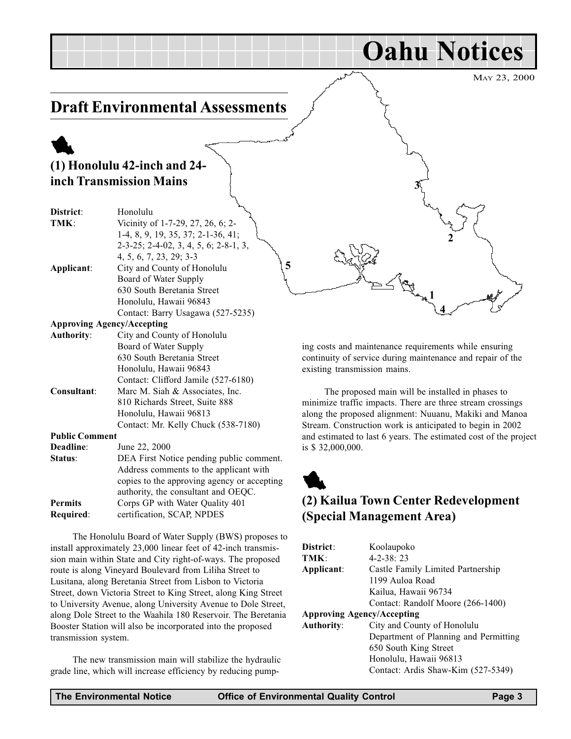MAY 23, 2000

Oahu Notices

2

4 1

## <span id="page-2-0"></span>Draft Environmental Assessments

## 1 (1) Honolulu 42-inch and 24 inch Transmission Mains

| District:             | Honolulu                                       |
|-----------------------|------------------------------------------------|
| TMK:                  | Vicinity of 1-7-29, 27, 26, 6; 2-              |
|                       | 1-4, 8, 9, 19, 35, 37; 2-1-36, 41;             |
|                       | $2-3-25$ ; $2-4-02$ , 3, 4, 5, 6; $2-8-1$ , 3, |
|                       | 4, 5, 6, 7, 23, 29; 3-3                        |
| Applicant:            | City and County of Honolulu                    |
|                       | Board of Water Supply                          |
|                       | 630 South Beretania Street                     |
|                       | Honolulu, Hawaii 96843                         |
|                       | Contact: Barry Usagawa (527-5235)              |
|                       | <b>Approving Agency/Accepting</b>              |
| <b>Authority:</b>     | City and County of Honolulu                    |
|                       | Board of Water Supply                          |
|                       | 630 South Beretania Street                     |
|                       | Honolulu, Hawaii 96843                         |
|                       | Contact: Clifford Jamile (527-6180)            |
| Consultant:           | Marc M. Siah & Associates, Inc.                |
|                       | 810 Richards Street, Suite 888                 |
|                       | Honolulu, Hawaii 96813                         |
|                       | Contact: Mr. Kelly Chuck (538-7180)            |
| <b>Public Comment</b> |                                                |
| Deadline:             | June 22, 2000                                  |
| Status:               | DEA First Notice pending public comment.       |
|                       | Address comments to the applicant with         |
|                       | copies to the approving agency or accepting    |
|                       | authority, the consultant and OEQC.            |
| <b>Permits</b>        | Corps GP with Water Quality 401                |
| <b>Required:</b>      | certification. SCAP. NPDES                     |

The Honolulu Board of Water Supply (BWS) proposes to install approximately 23,000 linear feet of 42-inch transmission main within State and City right-of-ways. The proposed route is along Vineyard Boulevard from Liliha Street to Lusitana, along Beretania Street from Lisbon to Victoria Street, down Victoria Street to King Street, along King Street to University Avenue, along University Avenue to Dole Street, along Dole Street to the Waahila 180 Reservoir. The Beretania Booster Station will also be incorporated into the proposed transmission system.

The new transmission main will stabilize the hydraulic grade line, which will increase efficiency by reducing pumping costs and maintenance requirements while ensuring continuity of service during maintenance and repair of the existing transmission mains.

3

The proposed main will be installed in phases to minimize traffic impacts. There are three stream crossings along the proposed alignment: Nuuanu, Makiki and Manoa Stream. Construction work is anticipated to begin in 2002 and estimated to last 6 years. The estimated cost of the project is \$ 32,000,000.

## 1 (2) Kailua Town Center Redevelopment (Special Management Area)

| District:                         | Koolaupoko                            |
|-----------------------------------|---------------------------------------|
| TMK:                              | $4 - 2 - 38:23$                       |
| Applicant:                        | Castle Family Limited Partnership     |
|                                   | 1199 Auloa Road                       |
|                                   | Kailua, Hawaii 96734                  |
|                                   | Contact: Randolf Moore (266-1400)     |
| <b>Approving Agency/Accepting</b> |                                       |
| <b>Authority:</b>                 | City and County of Honolulu           |
|                                   | Department of Planning and Permitting |
|                                   | 650 South King Street                 |
|                                   | Honolulu, Hawaii 96813                |
|                                   | Contact: Ardis Shaw-Kim (527-5349)    |

5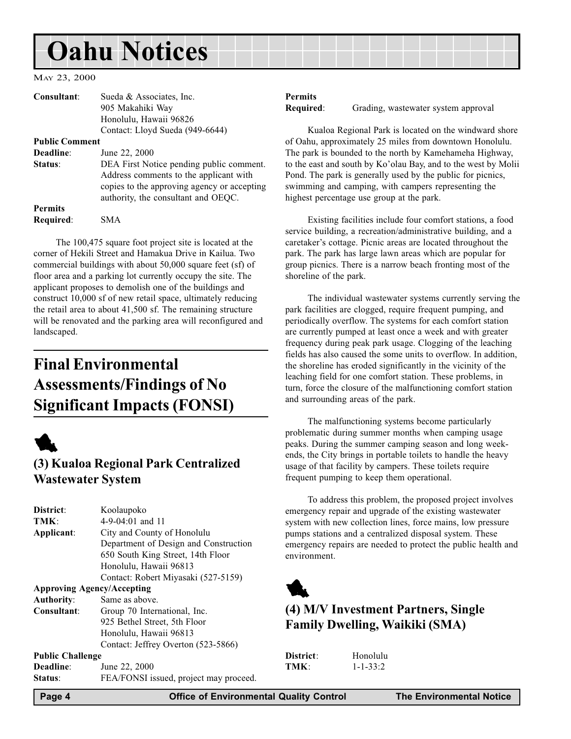## <span id="page-3-0"></span>Oahu Notices

MAY 23, 2000

| Consultant:           | Sueda & Associates, Inc.                                                                                                                                                 |
|-----------------------|--------------------------------------------------------------------------------------------------------------------------------------------------------------------------|
|                       | 905 Makahiki Way                                                                                                                                                         |
|                       | Honolulu, Hawaii 96826                                                                                                                                                   |
|                       | Contact: Lloyd Sueda (949-6644)                                                                                                                                          |
| <b>Public Comment</b> |                                                                                                                                                                          |
| Deadline:             | June 22, 2000                                                                                                                                                            |
| Status:               | DEA First Notice pending public comment.<br>Address comments to the applicant with<br>copies to the approving agency or accepting<br>authority, the consultant and OEQC. |
| <b>Permits</b>        |                                                                                                                                                                          |
| Required:             | SMA                                                                                                                                                                      |

The 100,475 square foot project site is located at the corner of Hekili Street and Hamakua Drive in Kailua. Two commercial buildings with about 50,000 square feet (sf) of floor area and a parking lot currently occupy the site. The applicant proposes to demolish one of the buildings and construct 10,000 sf of new retail space, ultimately reducing the retail area to about 41,500 sf. The remaining structure will be renovated and the parking area will reconfigured and landscaped.

## Final Environmental Assessments/Findings of No Significant Impacts (FONSI)



## (3) Kualoa Regional Park Centralized Wastewater System

| District:                         | Koolaupoko                             |  |
|-----------------------------------|----------------------------------------|--|
| TMK:                              | $4-9-04:01$ and 11                     |  |
| Applicant:                        | City and County of Honolulu            |  |
|                                   | Department of Design and Construction  |  |
|                                   | 650 South King Street, 14th Floor      |  |
|                                   | Honolulu, Hawaii 96813                 |  |
|                                   | Contact: Robert Miyasaki (527-5159)    |  |
| <b>Approving Agency/Accepting</b> |                                        |  |
| <b>Authority:</b>                 | Same as above.                         |  |
| Consultant:                       | Group 70 International, Inc.           |  |
|                                   | 925 Bethel Street, 5th Floor           |  |
|                                   | Honolulu, Hawaii 96813                 |  |
|                                   | Contact: Jeffrey Overton (523-5866)    |  |
| <b>Public Challenge</b>           |                                        |  |
| Deadline:                         | June 22, 2000                          |  |
| Status:                           | FEA/FONSI issued, project may proceed. |  |

#### Permits

Required: Grading, wastewater system approval

Kualoa Regional Park is located on the windward shore of Oahu, approximately 25 miles from downtown Honolulu. The park is bounded to the north by Kamehameha Highway, to the east and south by Ko'olau Bay, and to the west by Molii Pond. The park is generally used by the public for picnics, swimming and camping, with campers representing the highest percentage use group at the park.

Existing facilities include four comfort stations, a food service building, a recreation/administrative building, and a caretaker's cottage. Picnic areas are located throughout the park. The park has large lawn areas which are popular for group picnics. There is a narrow beach fronting most of the shoreline of the park.

The individual wastewater systems currently serving the park facilities are clogged, require frequent pumping, and periodically overflow. The systems for each comfort station are currently pumped at least once a week and with greater frequency during peak park usage. Clogging of the leaching fields has also caused the some units to overflow. In addition, the shoreline has eroded significantly in the vicinity of the leaching field for one comfort station. These problems, in turn, force the closure of the malfunctioning comfort station and surrounding areas of the park.

The malfunctioning systems become particularly problematic during summer months when camping usage peaks. During the summer camping season and long weekends, the City brings in portable toilets to handle the heavy usage of that facility by campers. These toilets require frequent pumping to keep them operational.

To address this problem, the proposed project involves emergency repair and upgrade of the existing wastewater system with new collection lines, force mains, low pressure pumps stations and a centralized disposal system. These emergency repairs are needed to protect the public health and environment.



## (4) M/V Investment Partners, Single Family Dwelling, Waikiki (SMA)

| <b>District:</b> | Honolulu       |
|------------------|----------------|
| TMK:             | $1 - 1 - 33:2$ |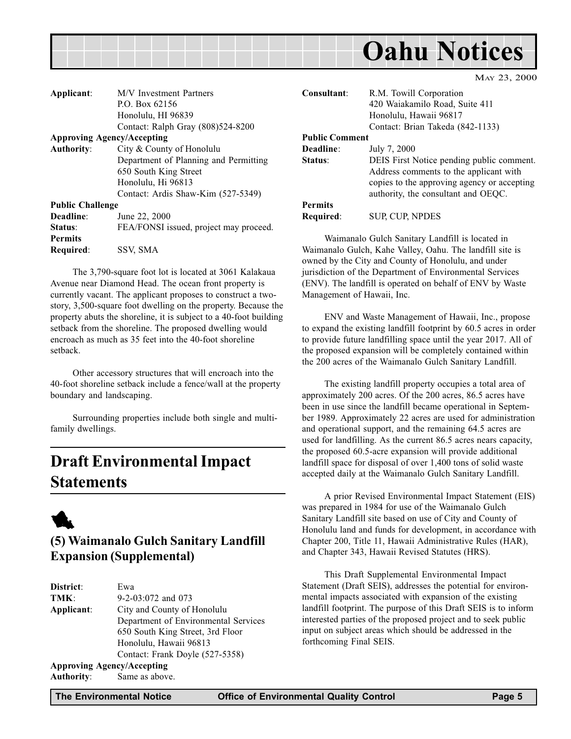<span id="page-4-0"></span>

MAY 23, 2000

| Applicant:                        | M/V Investment Partners                |  |
|-----------------------------------|----------------------------------------|--|
|                                   | P.O. Box 62156                         |  |
|                                   | Honolulu, HI 96839                     |  |
|                                   | Contact: Ralph Gray (808)524-8200      |  |
| <b>Approving Agency/Accepting</b> |                                        |  |
| <b>Authority:</b>                 | City & County of Honolulu              |  |
|                                   | Department of Planning and Permitting  |  |
|                                   | 650 South King Street                  |  |
|                                   | Honolulu, Hi 96813                     |  |
|                                   | Contact: Ardis Shaw-Kim (527-5349)     |  |
| <b>Public Challenge</b>           |                                        |  |
| Deadline:                         | June 22, 2000                          |  |
| Status:                           | FEA/FONSI issued, project may proceed. |  |
| <b>Permits</b>                    |                                        |  |
| Required:                         | SSV, SMA                               |  |

The 3,790-square foot lot is located at 3061 Kalakaua Avenue near Diamond Head. The ocean front property is currently vacant. The applicant proposes to construct a twostory, 3,500-square foot dwelling on the property. Because the property abuts the shoreline, it is subject to a 40-foot building setback from the shoreline. The proposed dwelling would encroach as much as 35 feet into the 40-foot shoreline setback.

Other accessory structures that will encroach into the 40-foot shoreline setback include a fence/wall at the property boundary and landscaping.

Surrounding properties include both single and multifamily dwellings.

## Draft Environmental Impact Statements



## (5) Waimanalo Gulch Sanitary Landfill Expansion (Supplemental)

| District:                         | Ewa                                  |
|-----------------------------------|--------------------------------------|
| TMK:                              | 9-2-03:072 and 073                   |
| Applicant:                        | City and County of Honolulu          |
|                                   | Department of Environmental Services |
|                                   | 650 South King Street, 3rd Floor     |
|                                   | Honolulu, Hawaii 96813               |
|                                   | Contact: Frank Doyle (527-5358)      |
| <b>Approving Agency/Accepting</b> |                                      |
| <b>Authority:</b>                 | Same as above.                       |

Consultant: R.M. Towill Corporation 420 Waiakamilo Road, Suite 411 Honolulu, Hawaii 96817 Contact: Brian Takeda (842-1133) Public Comment Deadline: July 7, 2000 Status: DEIS First Notice pending public comment. Address comments to the applicant with copies to the approving agency or accepting authority, the consultant and OEQC. Permits Required: SUP, CUP, NPDES

Waimanalo Gulch Sanitary Landfill is located in Waimanalo Gulch, Kahe Valley, Oahu. The landfill site is owned by the City and County of Honolulu, and under jurisdiction of the Department of Environmental Services (ENV). The landfill is operated on behalf of ENV by Waste Management of Hawaii, Inc.

ENV and Waste Management of Hawaii, Inc., propose to expand the existing landfill footprint by 60.5 acres in order to provide future landfilling space until the year 2017. All of the proposed expansion will be completely contained within the 200 acres of the Waimanalo Gulch Sanitary Landfill.

The existing landfill property occupies a total area of approximately 200 acres. Of the 200 acres, 86.5 acres have been in use since the landfill became operational in September 1989. Approximately 22 acres are used for administration and operational support, and the remaining 64.5 acres are used for landfilling. As the current 86.5 acres nears capacity, the proposed 60.5-acre expansion will provide additional landfill space for disposal of over 1,400 tons of solid waste accepted daily at the Waimanalo Gulch Sanitary Landfill.

A prior Revised Environmental Impact Statement (EIS) was prepared in 1984 for use of the Waimanalo Gulch Sanitary Landfill site based on use of City and County of Honolulu land and funds for development, in accordance with Chapter 200, Title 11, Hawaii Administrative Rules (HAR), and Chapter 343, Hawaii Revised Statutes (HRS).

This Draft Supplemental Environmental Impact Statement (Draft SEIS), addresses the potential for environmental impacts associated with expansion of the existing landfill footprint. The purpose of this Draft SEIS is to inform interested parties of the proposed project and to seek public input on subject areas which should be addressed in the forthcoming Final SEIS.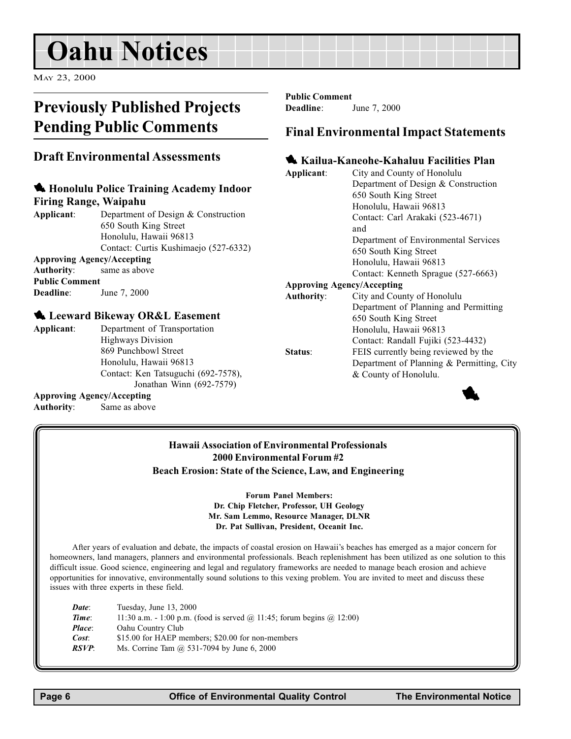## <span id="page-5-0"></span>Oahu Notices

MAY 23, 2000

## Previously Published Projects Pending Public Comments

### Draft Environmental Assessments

#### **4 Honolulu Police Training Academy Indoor** Firing Range, Waipahu

Applicant: Department of Design & Construction 650 South King Street Honolulu, Hawaii 96813 Contact: Curtis Kushimaejo (527-6332) Approving Agency/Accepting

#### Authority: same as above

Public Comment

Deadline: June 7, 2000

Approving Agency/Accepting Authority: Same as above

#### **4.** Leeward Bikeway OR&L Easement

Applicant: Department of Transportation Highways Division 869 Punchbowl Street Honolulu, Hawaii 96813 Contact: Ken Tatsuguchi (692-7578), Jonathan Winn (692-7579)

#### Public Comment Deadline: June 7, 2000

### Final Environmental Impact Statements

#### **1 Kailua-Kaneohe-Kahaluu Facilities Plan**

| Applicant:                        | City and County of Honolulu               |
|-----------------------------------|-------------------------------------------|
|                                   |                                           |
|                                   | Department of Design & Construction       |
|                                   | 650 South King Street                     |
|                                   | Honolulu, Hawaii 96813                    |
|                                   | Contact: Carl Arakaki (523-4671)          |
|                                   | and                                       |
|                                   | Department of Environmental Services      |
|                                   | 650 South King Street                     |
|                                   | Honolulu, Hawaii 96813                    |
|                                   | Contact: Kenneth Sprague (527-6663)       |
| <b>Approving Agency/Accepting</b> |                                           |
| <b>Authority:</b>                 | City and County of Honolulu               |
|                                   | Department of Planning and Permitting     |
|                                   | 650 South King Street                     |
|                                   | Honolulu, Hawaii 96813                    |
|                                   | Contact: Randall Fujiki (523-4432)        |
| Status:                           | FEIS currently being reviewed by the      |
|                                   | Department of Planning & Permitting, City |
|                                   | & County of Honolulu.                     |
|                                   |                                           |



#### Hawaii Association of Environmental Professionals 2000 Environmental Forum #2 Beach Erosion: State of the Science, Law, and Engineering

Forum Panel Members: Dr. Chip Fletcher, Professor, UH Geology Mr. Sam Lemmo, Resource Manager, DLNR Dr. Pat Sullivan, President, Oceanit Inc.

After years of evaluation and debate, the impacts of coastal erosion on Hawaii's beaches has emerged as a major concern for homeowners, land managers, planners and environmental professionals. Beach replenishment has been utilized as one solution to this difficult issue. Good science, engineering and legal and regulatory frameworks are needed to manage beach erosion and achieve opportunities for innovative, environmentally sound solutions to this vexing problem. You are invited to meet and discuss these issues with three experts in these field.

| Date:  | Tuesday, June 13, 2000                                                              |
|--------|-------------------------------------------------------------------------------------|
| Time:  | 11:30 a.m. - 1:00 p.m. (food is served $\omega$ 11:45; forum begins $\omega$ 12:00) |
| Place: | Oahu Country Club                                                                   |
| Cost:  | \$15.00 for HAEP members; \$20.00 for non-members                                   |
| RSVP:  | Ms. Corrine Tam @ 531-7094 by June 6, 2000                                          |
|        |                                                                                     |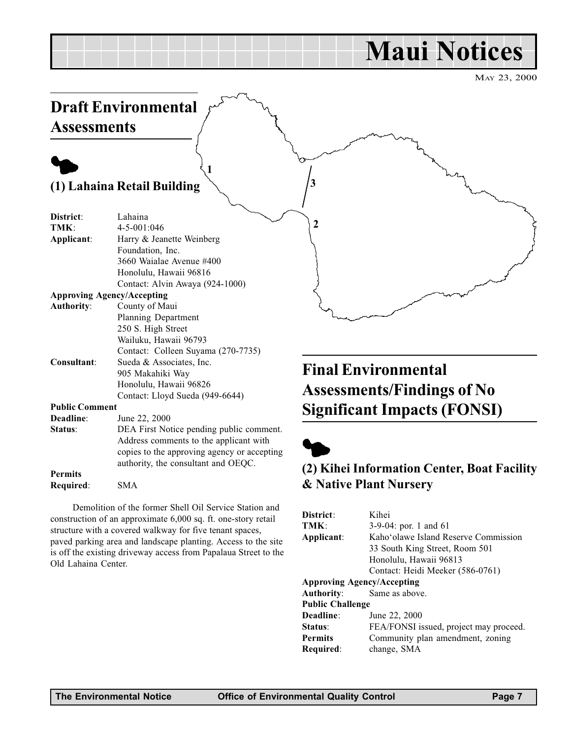## Maui Notices

MAY 23, 2000

<span id="page-6-0"></span>

|                       | <b>Draft Environmental</b>                                                                                                                                               |                                                                 |
|-----------------------|--------------------------------------------------------------------------------------------------------------------------------------------------------------------------|-----------------------------------------------------------------|
| <b>Assessments</b>    |                                                                                                                                                                          |                                                                 |
|                       |                                                                                                                                                                          |                                                                 |
|                       | (1) Lahaina Retail Building                                                                                                                                              | 3                                                               |
| District:<br>TMK:     | Lahaina<br>4-5-001:046                                                                                                                                                   | 2                                                               |
| Applicant:            | Harry & Jeanette Weinberg<br>Foundation, Inc.<br>3660 Waialae Avenue #400<br>Honolulu, Hawaii 96816<br>Contact: Alvin Awaya (924-1000)                                   |                                                                 |
|                       | <b>Approving Agency/Accepting</b>                                                                                                                                        |                                                                 |
| <b>Authority:</b>     | County of Maui<br>Planning Department<br>250 S. High Street<br>Wailuku, Hawaii 96793<br>Contact: Colleen Suyama (270-7735)                                               |                                                                 |
| Consultant:           | Sueda & Associates, Inc.<br>905 Makahiki Way<br>Honolulu, Hawaii 96826<br>Contact: Lloyd Sueda (949-6644)                                                                | <b>Final Environmental</b><br><b>Assessments/Findings of No</b> |
| <b>Public Comment</b> |                                                                                                                                                                          | <b>Significant Impacts (FONSI)</b>                              |
| Deadline:             | June 22, 2000                                                                                                                                                            |                                                                 |
| Status:               | DEA First Notice pending public comment.<br>Address comments to the applicant with<br>copies to the approving agency or accepting<br>authority, the consultant and OEQC. |                                                                 |
| <b>Permits</b>        |                                                                                                                                                                          | (2) Kihei Information Center, Boat Facility                     |
| Required:             | <b>SMA</b>                                                                                                                                                               | & Native Plant Nursery                                          |

Demolition of the former Shell Oil Service Station and construction of an approximate 6,000 sq. ft. one-story retail structure with a covered walkway for five tenant spaces, paved parking area and landscape planting. Access to the site is off the existing driveway access from Papalaua Street to the Old Lahaina Center.

#### District: Kihei TMK: 3-9-04: por. 1 and 61 Applicant: Kaho'olawe Island Reserve Commission 33 South King Street, Room 501 Honolulu, Hawaii 96813 Contact: Heidi Meeker (586-0761) Approving Agency/Accepting Authority: Same as above. Public Challenge Deadline: June 22, 2000 Status: FEA/FONSI issued, project may proceed. **Permits** Community plan amendment, zoning Required: change, SMA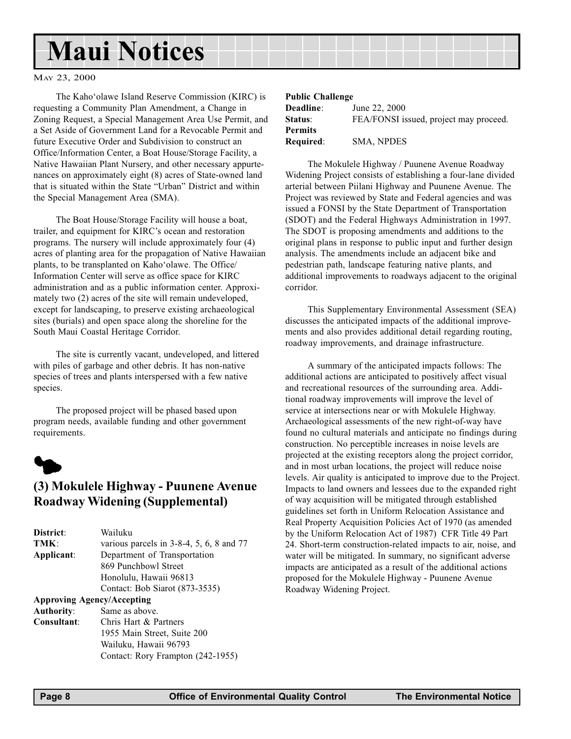## <span id="page-7-0"></span>Maui Notices

#### MAY 23, 2000

The Kaho'olawe Island Reserve Commission (KIRC) is requesting a Community Plan Amendment, a Change in Zoning Request, a Special Management Area Use Permit, and a Set Aside of Government Land for a Revocable Permit and future Executive Order and Subdivision to construct an Office/Information Center, a Boat House/Storage Facility, a Native Hawaiian Plant Nursery, and other necessary appurtenances on approximately eight (8) acres of State-owned land that is situated within the State "Urban" District and within the Special Management Area (SMA).

The Boat House/Storage Facility will house a boat, trailer, and equipment for KIRC's ocean and restoration programs. The nursery will include approximately four (4) acres of planting area for the propagation of Native Hawaiian plants, to be transplanted on Kaho'olawe. The Office/ Information Center will serve as office space for KIRC administration and as a public information center. Approximately two (2) acres of the site will remain undeveloped, except for landscaping, to preserve existing archaeological sites (burials) and open space along the shoreline for the South Maui Coastal Heritage Corridor.

The site is currently vacant, undeveloped, and littered with piles of garbage and other debris. It has non-native species of trees and plants interspersed with a few native species.

The proposed project will be phased based upon program needs, available funding and other government requirements.



## (3) Mokulele Highway - Puunene Avenue Roadway Widening (Supplemental)

| District:         | Wailuku                                     |
|-------------------|---------------------------------------------|
| TMK:              | various parcels in $3-8-4$ , 5, 6, 8 and 77 |
| Applicant:        | Department of Transportation                |
|                   | 869 Punchbowl Street                        |
|                   | Honolulu, Hawaii 96813                      |
|                   | Contact: Bob Siarot (873-3535)              |
|                   | <b>Approving Agency/Accepting</b>           |
| <b>Authority:</b> | Same as above.                              |
| Consultant:       | Chris Hart & Partners                       |
|                   | 1955 Main Street, Suite 200                 |
|                   | Wailuku, Hawaii 96793                       |
|                   | Contact: Rory Frampton (242-1955)           |
|                   |                                             |

#### Public Challenge

| <b>Deadline:</b> | June 22, 2000                          |
|------------------|----------------------------------------|
| <b>Status:</b>   | FEA/FONSI issued, project may proceed. |
| Permits          |                                        |
| Required:        | <b>SMA, NPDES</b>                      |

The Mokulele Highway / Puunene Avenue Roadway Widening Project consists of establishing a four-lane divided arterial between Piilani Highway and Puunene Avenue. The Project was reviewed by State and Federal agencies and was issued a FONSI by the State Department of Transportation (SDOT) and the Federal Highways Administration in 1997. The SDOT is proposing amendments and additions to the original plans in response to public input and further design analysis. The amendments include an adjacent bike and pedestrian path, landscape featuring native plants, and additional improvements to roadways adjacent to the original corridor.

This Supplementary Environmental Assessment (SEA) discusses the anticipated impacts of the additional improvements and also provides additional detail regarding routing, roadway improvements, and drainage infrastructure.

A summary of the anticipated impacts follows: The additional actions are anticipated to positively affect visual and recreational resources of the surrounding area. Additional roadway improvements will improve the level of service at intersections near or with Mokulele Highway. Archaeological assessments of the new right-of-way have found no cultural materials and anticipate no findings during construction. No perceptible increases in noise levels are projected at the existing receptors along the project corridor, and in most urban locations, the project will reduce noise levels. Air quality is anticipated to improve due to the Project. Impacts to land owners and lessees due to the expanded right of way acquisition will be mitigated through established guidelines set forth in Uniform Relocation Assistance and Real Property Acquisition Policies Act of 1970 (as amended by the Uniform Relocation Act of 1987) CFR Title 49 Part 24. Short-term construction-related impacts to air, noise, and water will be mitigated. In summary, no significant adverse impacts are anticipated as a result of the additional actions proposed for the Mokulele Highway - Puunene Avenue Roadway Widening Project.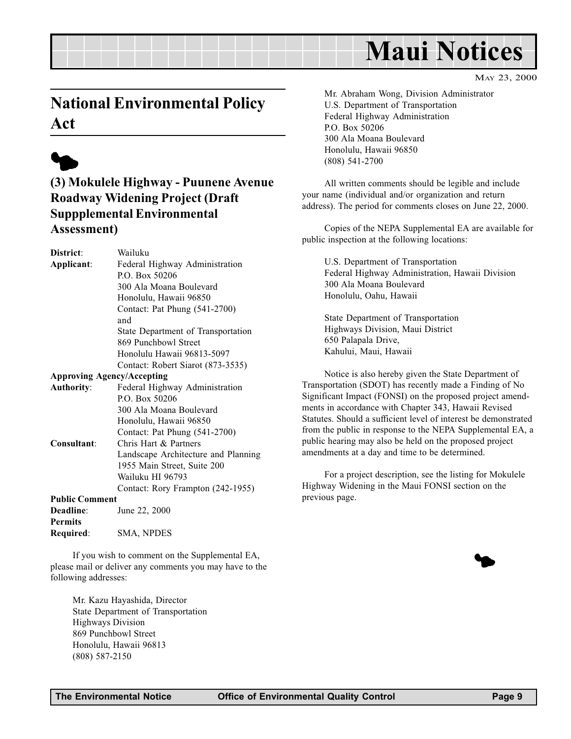## Maui Notices

MAY 23, 2000

## <span id="page-8-0"></span>National Environmental Policy Act



## (3) Mokulele Highway - Puunene Avenue Roadway Widening Project (Draft Suppplemental Environmental Assessment)

District: Wailuku Applicant: Federal Highway Administration P.O. Box 50206 300 Ala Moana Boulevard Honolulu, Hawaii 96850 Contact: Pat Phung (541-2700) and State Department of Transportation 869 Punchbowl Street Honolulu Hawaii 96813-5097 Contact: Robert Siarot (873-3535) Approving Agency/Accepting Authority: Federal Highway Administration P.O. Box 50206 300 Ala Moana Boulevard Honolulu, Hawaii 96850 Contact: Pat Phung (541-2700) Consultant: Chris Hart & Partners Landscape Architecture and Planning 1955 Main Street, Suite 200 Wailuku HI 96793 Contact: Rory Frampton (242-1955) Public Comment Deadline: June 22, 2000

Permits Required: SMA, NPDES

If you wish to comment on the Supplemental EA, please mail or deliver any comments you may have to the following addresses:

> Mr. Kazu Hayashida, Director State Department of Transportation Highways Division 869 Punchbowl Street Honolulu, Hawaii 96813 (808) 587-2150

Mr. Abraham Wong, Division Administrator U.S. Department of Transportation Federal Highway Administration P.O. Box 50206 300 Ala Moana Boulevard Honolulu, Hawaii 96850 (808) 541-2700

All written comments should be legible and include your name (individual and/or organization and return address). The period for comments closes on June 22, 2000.

Copies of the NEPA Supplemental EA are available for public inspection at the following locations:

U.S. Department of Transportation Federal Highway Administration, Hawaii Division 300 Ala Moana Boulevard Honolulu, Oahu, Hawaii

State Department of Transportation Highways Division, Maui District 650 Palapala Drive, Kahului, Maui, Hawaii

Notice is also hereby given the State Department of Transportation (SDOT) has recently made a Finding of No Significant Impact (FONSI) on the proposed project amendments in accordance with Chapter 343, Hawaii Revised Statutes. Should a sufficient level of interest be demonstrated from the public in response to the NEPA Supplemental EA, a public hearing may also be held on the proposed project amendments at a day and time to be determined.

For a project description, see the listing for Mokulele Highway Widening in the Maui FONSI section on the previous page.

 $\blacklozenge$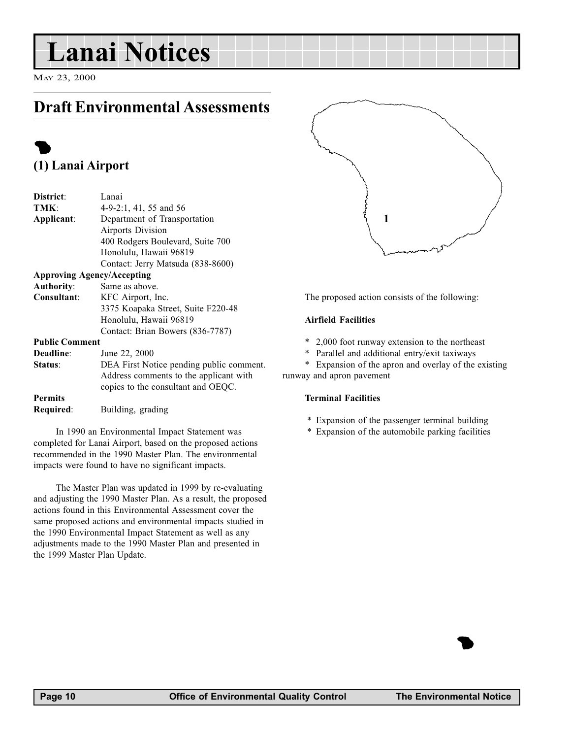## <span id="page-9-0"></span>Lanai Notices

MAY 23, 2000

## Draft Environmental Assessments

## $\bullet$ (1) Lanai Airport

| District:             | Lanai                                    |
|-----------------------|------------------------------------------|
| TMK:                  | $4-9-2:1$ , 41, 55 and 56                |
| Applicant:            | Department of Transportation             |
|                       | <b>Airports Division</b>                 |
|                       | 400 Rodgers Boulevard, Suite 700         |
|                       | Honolulu, Hawaii 96819                   |
|                       | Contact: Jerry Matsuda (838-8600)        |
|                       | <b>Approving Agency/Accepting</b>        |
| <b>Authority:</b>     | Same as above.                           |
| Consultant:           | KFC Airport, Inc.                        |
|                       | 3375 Koapaka Street, Suite F220-48       |
|                       | Honolulu, Hawaii 96819                   |
|                       | Contact: Brian Bowers (836-7787)         |
| <b>Public Comment</b> |                                          |
| Deadline:             | June 22, 2000                            |
| Status:               | DEA First Notice pending public comment. |
|                       | Address comments to the applicant with   |
|                       | copies to the consultant and OEQC.       |
| <b>Permits</b>        |                                          |
| Required:             | Building, grading                        |
|                       |                                          |

In 1990 an Environmental Impact Statement was completed for Lanai Airport, based on the proposed actions recommended in the 1990 Master Plan. The environmental impacts were found to have no significant impacts.

The Master Plan was updated in 1999 by re-evaluating and adjusting the 1990 Master Plan. As a result, the proposed actions found in this Environmental Assessment cover the same proposed actions and environmental impacts studied in the 1990 Environmental Impact Statement as well as any adjustments made to the 1990 Master Plan and presented in the 1999 Master Plan Update.



The proposed action consists of the following:

#### Airfield Facilities

- \* 2,000 foot runway extension to the northeast
- \* Parallel and additional entry/exit taxiways

\* Expansion of the apron and overlay of the existing runway and apron pavement

#### Terminal Facilities

- \* Expansion of the passenger terminal building
- \* Expansion of the automobile parking facilities

**1**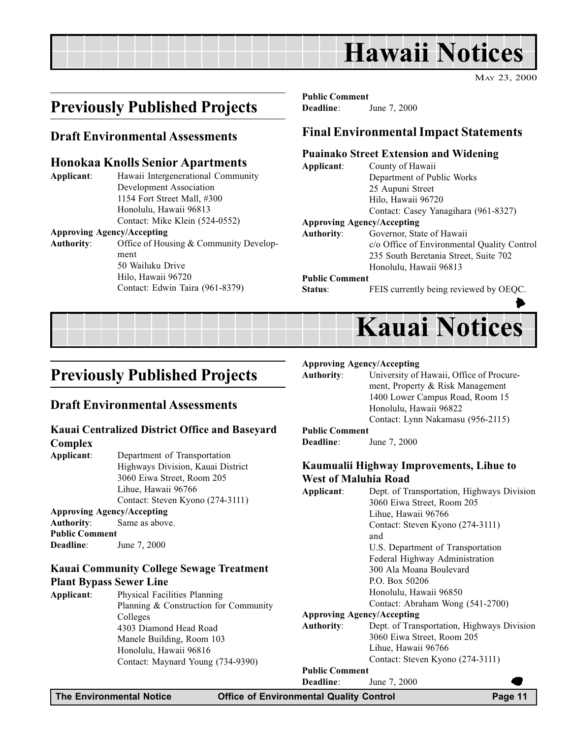## Hawaii Notices

MAY 23, 2000

## <span id="page-10-0"></span>Previously Published Projects

#### Draft Environmental Assessments

#### Honokaa Knolls Senior Apartments

Applicant: Hawaii Intergenerational Community Development Association 1154 Fort Street Mall, #300 Honolulu, Hawaii 96813 Contact: Mike Klein (524-0552) Approving Agency/Accepting

Authority: Office of Housing & Community Development 50 Wailuku Drive Hilo, Hawaii 96720 Contact: Edwin Taira (961-8379)

Public Comment Deadline: June 7, 2000

### Final Environmental Impact Statements

#### Puainako Street Extension and Widening

Applicant: County of Hawaii Department of Public Works 25 Aupuni Street Hilo, Hawaii 96720 Contact: Casey Yanagihara (961-8327)

#### Approving Agency/Accepting

Authority: Governor, State of Hawaii c/o Office of Environmental Quality Control 235 South Beretania Street, Suite 702 Honolulu, Hawaii 96813

#### Public Comment

Status: FEIS currently being reviewed by OEQC.



## Previously Published Projects

#### Draft Environmental Assessments

#### Kauai Centralized District Office and Baseyard Complex

Applicant: Department of Transportation Highways Division, Kauai District 3060 Eiwa Street, Room 205 Lihue, Hawaii 96766 Contact: Steven Kyono (274-3111) Approving Agency/Accepting

### Authority: Same as above.

Public Comment Deadline: June 7, 2000

#### Kauai Community College Sewage Treatment Plant Bypass Sewer Line

Applicant: Physical Facilities Planning Planning & Construction for Community Colleges 4303 Diamond Head Road Manele Building, Room 103 Honolulu, Hawaii 96816 Contact: Maynard Young (734-9390)

#### Approving Agency/Accepting

#### Authority: University of Hawaii, Office of Procurement, Property & Risk Management 1400 Lower Campus Road, Room 15 Honolulu, Hawaii 96822

#### Contact: Lynn Nakamasu (956-2115)

#### Public Comment

Deadline: June 7, 2000

#### Kaumualii Highway Improvements, Lihue to West of Maluhia Road

| Applicant:            | Dept. of Transportation, Highways Division |
|-----------------------|--------------------------------------------|
|                       | 3060 Eiwa Street, Room 205                 |
|                       | Lihue, Hawaii 96766                        |
|                       | Contact: Steven Kyono (274-3111)           |
|                       | and                                        |
|                       | U.S. Department of Transportation          |
|                       | Federal Highway Administration             |
|                       | 300 Ala Moana Boulevard                    |
|                       | P.O. Box 50206                             |
|                       | Honolulu, Hawaii 96850                     |
|                       | Contact: Abraham Wong (541-2700)           |
|                       | <b>Approving Agency/Accepting</b>          |
| Authority:            | Dept. of Transportation, Highways Division |
|                       | 3060 Eiwa Street, Room 205                 |
|                       | Lihue, Hawaii 96766                        |
|                       | Contact: Steven Kyono (274-3111)           |
| <b>Public Comment</b> |                                            |
| Deadline:             | June 7, 2000                               |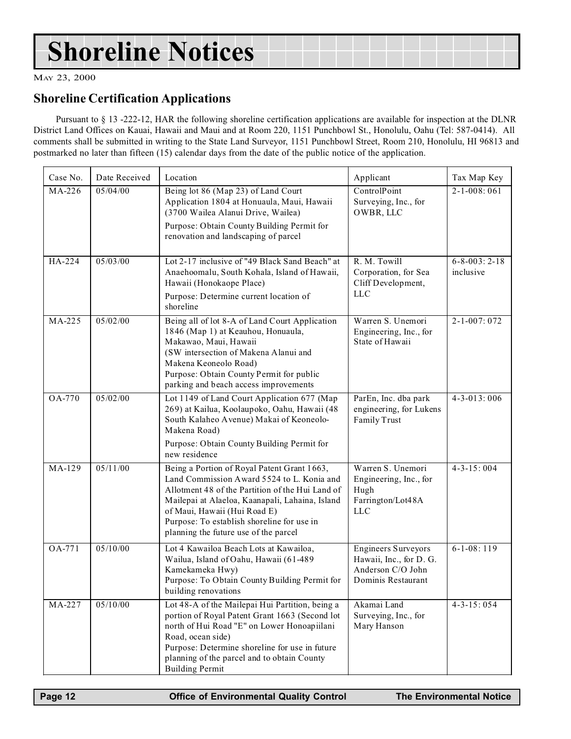## <span id="page-11-0"></span>Shoreline Notices

MAY 23, 2000

### Shoreline Certification Applications

Pursuant to § 13 -222-12, HAR the following shoreline certification applications are available for inspection at the DLNR District Land Offices on Kauai, Hawaii and Maui and at Room 220, 1151 Punchbowl St., Honolulu, Oahu (Tel: 587-0414). All comments shall be submitted in writing to the State Land Surveyor, 1151 Punchbowl Street, Room 210, Honolulu, HI 96813 and postmarked no later than fifteen (15) calendar days from the date of the public notice of the application.

| Case No. | Date Received | Location                                                                                                                                                                                                                                                                                                                | Applicant                                                                                        | Tax Map Key                        |
|----------|---------------|-------------------------------------------------------------------------------------------------------------------------------------------------------------------------------------------------------------------------------------------------------------------------------------------------------------------------|--------------------------------------------------------------------------------------------------|------------------------------------|
| MA-226   | 05/04/00      | Being lot 86 (Map 23) of Land Court<br>Application 1804 at Honuaula, Maui, Hawaii<br>(3700 Wailea Alanui Drive, Wailea)<br>Purpose: Obtain County Building Permit for<br>renovation and landscaping of parcel                                                                                                           | ControlPoint<br>Surveying, Inc., for<br>OWBR, LLC                                                | $2 - 1 - 008:061$                  |
| HA-224   | 05/03/00      | Lot 2-17 inclusive of "49 Black Sand Beach" at<br>Anaehoomalu, South Kohala, Island of Hawaii,<br>Hawaii (Honokaope Place)<br>Purpose: Determine current location of<br>shoreline                                                                                                                                       | R. M. Towill<br>Corporation, for Sea<br>Cliff Development,<br><b>LLC</b>                         | $6 - 8 - 003: 2 - 18$<br>inclusive |
| MA-225   | 05/02/00      | Being all of lot 8-A of Land Court Application<br>1846 (Map 1) at Keauhou, Honuaula,<br>Makawao, Maui, Hawaii<br>(SW intersection of Makena Alanui and<br>Makena Keoneolo Road)<br>Purpose: Obtain County Permit for public<br>parking and beach access improvements                                                    | Warren S. Unemori<br>Engineering, Inc., for<br>State of Hawaii                                   | $2 - 1 - 007:072$                  |
| OA-770   | 05/02/00      | Lot 1149 of Land Court Application 677 (Map<br>269) at Kailua, Koolaupoko, Oahu, Hawaii (48<br>South Kalaheo Avenue) Makai of Keoneolo-<br>Makena Road)<br>Purpose: Obtain County Building Permit for<br>new residence                                                                                                  | ParEn, Inc. dba park<br>engineering, for Lukens<br>Family Trust                                  | $4 - 3 - 013 : 006$                |
| MA-129   | 05/11/00      | Being a Portion of Royal Patent Grant 1663,<br>Land Commission Award 5524 to L. Konia and<br>Allotment 48 of the Partition of the Hui Land of<br>Mailepai at Alaeloa, Kaanapali, Lahaina, Island<br>of Maui, Hawaii (Hui Road E)<br>Purpose: To establish shoreline for use in<br>planning the future use of the parcel | Warren S. Unemori<br>Engineering, Inc., for<br>Hugh<br>Farrington/Lot48A<br><b>LLC</b>           | $4 - 3 - 15:004$                   |
| OA-771   | 05/10/00      | Lot 4 Kawailoa Beach Lots at Kawailoa,<br>Wailua, Island of Oahu, Hawaii (61-489<br>Kamekameka Hwy)<br>Purpose: To Obtain County Building Permit for<br>building renovations                                                                                                                                            | <b>Engineers Surveyors</b><br>Hawaii, Inc., for D. G.<br>Anderson C/O John<br>Dominis Restaurant | $6-1-08:119$                       |
| MA-227   | 05/10/00      | Lot 48-A of the Mailepai Hui Partition, being a<br>portion of Royal Patent Grant 1663 (Second lot<br>north of Hui Road "E" on Lower Honoapiilani<br>Road, ocean side)<br>Purpose: Determine shoreline for use in future<br>planning of the parcel and to obtain County<br><b>Building Permit</b>                        | Akamai Land<br>Surveying, Inc., for<br>Mary Hanson                                               | $4 - 3 - 15:054$                   |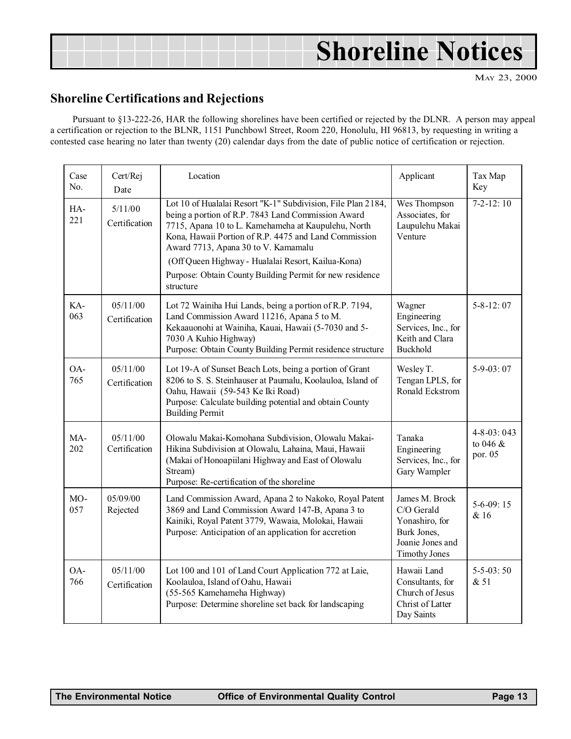## <span id="page-12-0"></span>Shoreline Notices

MAY 23, 2000

### Shoreline Certifications and Rejections

Pursuant to §13-222-26, HAR the following shorelines have been certified or rejected by the DLNR. A person may appeal a certification or rejection to the BLNR, 1151 Punchbowl Street, Room 220, Honolulu, HI 96813, by requesting in writing a contested case hearing no later than twenty (20) calendar days from the date of public notice of certification or rejection.

| Case<br>No. | Cert/Rej<br>Date          | Location<br>Applicant                                                                                                                                                                                                                                                                                                                                                                                    |                                                                                                           | Tax Map<br>Key                             |
|-------------|---------------------------|----------------------------------------------------------------------------------------------------------------------------------------------------------------------------------------------------------------------------------------------------------------------------------------------------------------------------------------------------------------------------------------------------------|-----------------------------------------------------------------------------------------------------------|--------------------------------------------|
| HA-<br>221  | 5/11/00<br>Certification  | Lot 10 of Hualalai Resort "K-1" Subdivision, File Plan 2184,<br>being a portion of R.P. 7843 Land Commission Award<br>7715, Apana 10 to L. Kamehameha at Kaupulehu, North<br>Kona, Hawaii Portion of R.P. 4475 and Land Commission<br>Award 7713, Apana 30 to V. Kamamalu<br>(Off Queen Highway - Hualalai Resort, Kailua-Kona)<br>Purpose: Obtain County Building Permit for new residence<br>structure | Wes Thompson<br>Associates, for<br>Laupulehu Makai<br>Venture                                             | $7-2-12:10$                                |
| KA-<br>063  | 05/11/00<br>Certification | Lot 72 Wainiha Hui Lands, being a portion of R.P. 7194,<br>Land Commission Award 11216, Apana 5 to M.<br>Kekaauonohi at Wainiha, Kauai, Hawaii (5-7030 and 5-<br>7030 A Kuhio Highway)<br>Purpose: Obtain County Building Permit residence structure                                                                                                                                                     | Wagner<br>Engineering<br>Services, Inc., for<br>Keith and Clara<br>Buckhold                               | $5 - 8 - 12:07$                            |
| OA-<br>765  | 05/11/00<br>Certification | Lot 19-A of Sunset Beach Lots, being a portion of Grant<br>8206 to S. S. Steinhauser at Paumalu, Koolauloa, Island of<br>Oahu, Hawaii (59-543 Ke Iki Road)<br>Purpose: Calculate building potential and obtain County<br><b>Building Permit</b>                                                                                                                                                          | Wesley T.<br>Tengan LPLS, for<br>Ronald Eckstrom                                                          | $5-9-03:07$                                |
| MA-<br>202  | 05/11/00<br>Certification | Olowalu Makai-Komohana Subdivision, Olowalu Makai-<br>Hikina Subdivision at Olowalu, Lahaina, Maui, Hawaii<br>(Makai of Honoapiilani Highway and East of Olowalu<br>Stream)<br>Purpose: Re-certification of the shoreline                                                                                                                                                                                | Tanaka<br>Engineering<br>Services, Inc., for<br>Gary Wampler                                              | $4 - 8 - 03:043$<br>to $046 \&$<br>por. 05 |
| MO-<br>057  | 05/09/00<br>Rejected      | Land Commission Award, Apana 2 to Nakoko, Royal Patent<br>3869 and Land Commission Award 147-B, Apana 3 to<br>Kainiki, Royal Patent 3779, Wawaia, Molokai, Hawaii<br>Purpose: Anticipation of an application for accretion                                                                                                                                                                               | James M. Brock<br>C/O Gerald<br>Yonashiro, for<br>Burk Jones,<br>Joanie Jones and<br><b>Timothy Jones</b> | $5-6-09:15$<br>& 16                        |
| OA-<br>766  | 05/11/00<br>Certification | Lot 100 and 101 of Land Court Application 772 at Laie,<br>Koolauloa, Island of Oahu, Hawaii<br>(55-565 Kamehameha Highway)<br>Purpose: Determine shoreline set back for landscaping                                                                                                                                                                                                                      | Hawaii Land<br>Consultants, for<br>Church of Jesus<br>Christ of Latter<br>Day Saints                      | $5 - 5 - 03:50$<br>& 51                    |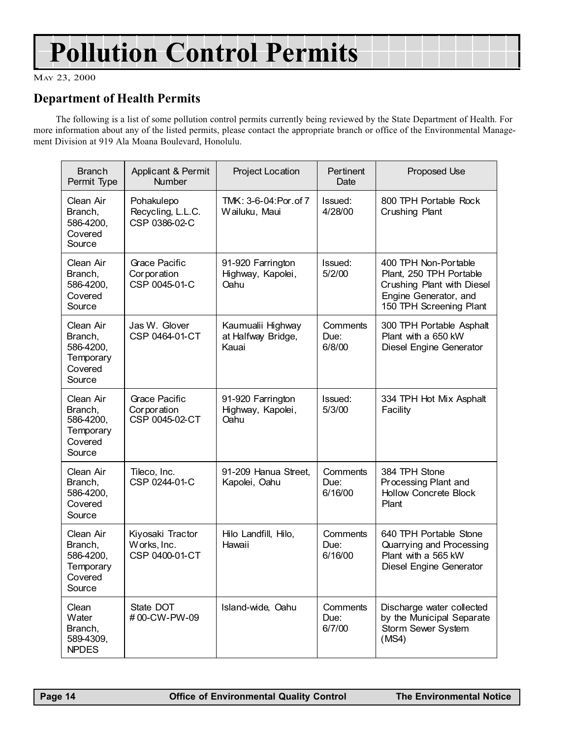## Pollution Control Permits

MAY 23, 2000

## Department of Health Permits

The following is a list of some pollution control permits currently being reviewed by the State Department of Health. For more information about any of the listed permits, please contact the appropriate branch or office of the Environmental Management Division at 919 Ala Moana Boulevard, Honolulu.

| <b>Branch</b><br>Permit Type                                        | Applicant & Permit<br><b>Number</b>                   | Project Location                                 | Pertinent<br>Date           | Proposed Use                                                                                                                      |
|---------------------------------------------------------------------|-------------------------------------------------------|--------------------------------------------------|-----------------------------|-----------------------------------------------------------------------------------------------------------------------------------|
| Clean Air<br>Branch,<br>586-4200,<br>Covered<br>Source              | Pohakulepo<br>Recycling, L.L.C.<br>CSP 0386-02-C      | TMK: 3-6-04: Por. of 7<br>Wailuku, Maui          | Issued:<br>4/28/00          | 800 TPH Portable Rock<br>Crushing Plant                                                                                           |
| Clean Air<br>Branch,<br>586-4200,<br>Covered<br>Source              | Grace Pacific<br>Corporation<br>CSP 0045-01-C         | 91-920 Farrington<br>Highway, Kapolei,<br>Oahu   | Issued:<br>5/2/00           | 400 TPH Non-Portable<br>Plant, 250 TPH Portable<br>Crushing Plant with Diesel<br>Engine Generator, and<br>150 TPH Screening Plant |
| Clean Air<br>Branch,<br>586-4200,<br>Temporary<br>Covered<br>Source | Jas W. Glover<br>CSP 0464-01-CT                       | Kaumualii Highway<br>at Halfway Bridge,<br>Kauai | Comments<br>Due:<br>6/8/00  | 300 TPH Portable Asphalt<br>Plant with a 650 kW<br>Diesel Engine Generator                                                        |
| Clean Air<br>Branch,<br>586-4200,<br>Temporary<br>Covered<br>Source | <b>Grace Pacific</b><br>Corporation<br>CSP 0045-02-CT | 91-920 Farrington<br>Highway, Kapolei,<br>Oahu   | Issued:<br>5/3/00           | 334 TPH Hot Mix Asphalt<br>Facility                                                                                               |
| Clean Air<br>Branch,<br>586-4200,<br>Covered<br>Source              | Tileco, Inc.<br>CSP 0244-01-C                         | 91-209 Hanua Street,<br>Kapolei, Oahu            | Comments<br>Due:<br>6/16/00 | 384 TPH Stone<br>Processing Plant and<br><b>Hollow Concrete Block</b><br>Plant                                                    |
| Clean Air<br>Branch,<br>586-4200,<br>Temporary<br>Covered<br>Source | Kiyosaki Tractor<br>Works, Inc.<br>CSP 0400-01-CT     | Hilo Landfill, Hilo,<br>Hawaii                   | Comments<br>Due:<br>6/16/00 | 640 TPH Portable Stone<br>Quarrying and Processing<br>Plant with a 565 kW<br>Diesel Engine Generator                              |
| Clean<br>Water<br>Branch,<br>589-4309,<br><b>NPDES</b>              | State DOT<br>#00-CW-PW-09                             | Island-wide, Oahu                                | Comments<br>Due:<br>6/7/00  | Discharge water collected<br>by the Municipal Separate<br>Storm Sewer System<br>(MS4)                                             |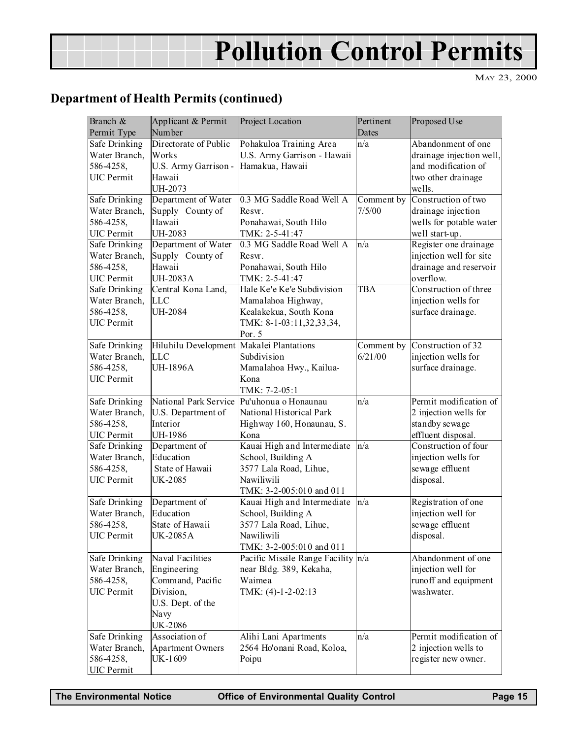## Pollution Control Permits

MAY 23, 2000

## Department of Health Permits (continued)

| Branch &                       | Applicant & Permit                       | Project Location                           | Pertinent  | Proposed Use             |
|--------------------------------|------------------------------------------|--------------------------------------------|------------|--------------------------|
| Permit Type                    | Number                                   |                                            | Dates      |                          |
| Safe Drinking                  | Directorate of Public                    | Pohakuloa Training Area                    | n/a        | Abandonment of one       |
| Water Branch,                  | Works                                    | U.S. Army Garrison - Hawaii                |            | drainage injection well, |
| 586-4258,                      | U.S. Army Garrison -                     | Hamakua, Hawaii                            |            | and modification of      |
| <b>UIC</b> Permit              | Hawaii                                   |                                            |            | two other drainage       |
|                                | UH-2073                                  |                                            |            | wells.                   |
| <b>Safe Drinking</b>           | Department of Water                      | 0.3 MG Saddle Road Well A                  | Comment by | Construction of two      |
| Water Branch,                  | Supply County of                         | Resvr.                                     | 7/5/00     | drainage injection       |
| 586-4258,                      | Hawaii                                   | Ponahawai, South Hilo                      |            | wells for potable water  |
| <b>UIC</b> Permit              | UH-2083                                  | TMK: 2-5-41:47                             |            | well start-up.           |
| Safe Drinking                  | Department of Water                      | 0.3 MG Saddle Road Well A                  | n/a        | Register one drainage    |
| Water Branch,                  | Supply County of                         | Resvr.                                     |            | injection well for site  |
| 586-4258,                      | Hawaii                                   | Ponahawai, South Hilo                      |            | drainage and reservoir   |
| <b>UIC</b> Permit              | <b>UH-2083A</b>                          | TMK: 2-5-41:47                             |            | overflow.                |
| Safe Drinking                  | Central Kona Land,                       | Hale Ke'e Ke'e Subdivision                 | TBA        | Construction of three    |
| Water Branch,                  | <b>LLC</b>                               | Mamalahoa Highway,                         |            | injection wells for      |
| 586-4258,                      | UH-2084                                  | Kealakekua, South Kona                     |            | surface drainage.        |
| <b>UIC</b> Permit              |                                          | TMK: 8-1-03:11,32,33,34,                   |            |                          |
|                                |                                          | Por. 5                                     |            |                          |
| <b>Safe Drinking</b>           | Hiluhilu Development Makalei Plantations |                                            | Comment by | Construction of 32       |
| Water Branch,                  | <b>LLC</b>                               | Subdivision                                | 6/21/00    | injection wells for      |
| 586-4258,                      | <b>UH-1896A</b>                          | Mamalahoa Hwy., Kailua-                    |            | surface drainage.        |
| <b>UIC</b> Permit              |                                          | Kona                                       |            |                          |
|                                |                                          | TMK: 7-2-05:1                              |            |                          |
| Safe Drinking                  |                                          | National Park Service Pu'uhonua o Honaunau | n/a        | Permit modification of   |
| Water Branch,                  | U.S. Department of                       | National Historical Park                   |            | 2 injection wells for    |
| 586-4258,                      | Interior                                 | Highway 160, Honaunau, S.                  |            | standby sewage           |
| <b>UIC</b> Permit              | UH-1986                                  | Kona                                       |            | effluent disposal.       |
| Safe Drinking                  | Department of                            | Kauai High and Intermediate                | n/a        | Construction of four     |
| Water Branch,                  | Education                                | School, Building A                         |            | injection wells for      |
| 586-4258,                      | State of Hawaii                          | 3577 Lala Road, Lihue,                     |            | sewage effluent          |
| <b>UIC</b> Permit              | UK-2085                                  | Nawiliwili                                 |            | disposal.                |
|                                |                                          | TMK: 3-2-005:010 and 011                   |            |                          |
| Safe Drinking                  | Department of                            | Kauai High and Intermediate                | n/a        | Registration of one      |
| Water Branch,                  | Education                                | School, Building A                         |            | injection well for       |
| 586-4258,                      | State of Hawaii                          | 3577 Lala Road, Lihue,                     |            | sewage effluent          |
| <b>UIC</b> Permit              | <b>UK-2085A</b>                          | Nawiliwili                                 |            | disposal.                |
|                                |                                          | TMK: 3-2-005:010 and 011                   |            |                          |
| Safe Drinking                  | Naval Facilities                         | Pacific Missile Range Facility n/a         |            | Abandonment of one       |
| Water Branch,                  | Engineering                              | near Bldg. 389, Kekaha,                    |            | injection well for       |
| 586-4258,                      | Command, Pacific                         | Waimea                                     |            | runoff and equipment     |
| <b>UIC</b> Permit              | Division,                                | TMK: $(4)-1-2-02:13$                       |            | washwater.               |
|                                | U.S. Dept. of the                        |                                            |            |                          |
|                                | Navy                                     |                                            |            |                          |
|                                | <b>UK-2086</b>                           |                                            |            |                          |
| Safe Drinking                  | Association of                           | Alihi Lani Apartments                      | n/a        | Permit modification of   |
| Water Branch,                  | <b>Apartment Owners</b>                  | 2564 Ho'onani Road, Koloa,                 |            | 2 injection wells to     |
|                                |                                          |                                            |            |                          |
| 586-4258,<br><b>UIC</b> Permit | UK-1609                                  | Poipu                                      |            | register new owner.      |

The Environmental Notice Office of Environmental Quality Control Page 15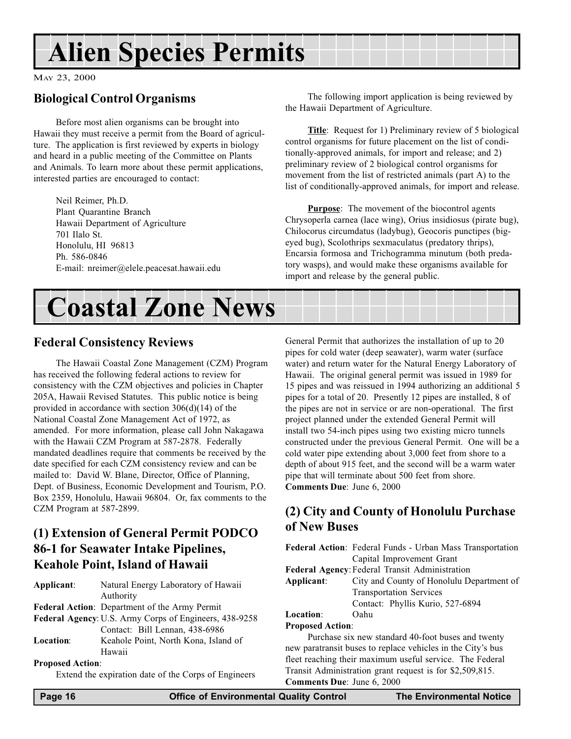## <span id="page-15-0"></span>Alien Species Permits

MAY 23, 2000

## Biological Control Organisms

Before most alien organisms can be brought into Hawaii they must receive a permit from the Board of agriculture. The application is first reviewed by experts in biology and heard in a public meeting of the Committee on Plants and Animals. To learn more about these permit applications, interested parties are encouraged to contact:

Neil Reimer, Ph.D. Plant Quarantine Branch Hawaii Department of Agriculture 701 Ilalo St. Honolulu, HI 96813 Ph. 586-0846 E-mail: nreimer@elele.peacesat.hawaii.edu

The following import application is being reviewed by the Hawaii Department of Agriculture.

Title: Request for 1) Preliminary review of 5 biological control organisms for future placement on the list of conditionally-approved animals, for import and release; and 2) preliminary review of 2 biological control organisms for movement from the list of restricted animals (part A) to the list of conditionally-approved animals, for import and release.

**Purpose:** The movement of the biocontrol agents Chrysoperla carnea (lace wing), Orius insidiosus (pirate bug), Chilocorus circumdatus (ladybug), Geocoris punctipes (bigeyed bug), Scolothrips sexmaculatus (predatory thrips), Encarsia formosa and Trichogramma minutum (both predatory wasps), and would make these organisms available for import and release by the general public.



### Federal Consistency Reviews

The Hawaii Coastal Zone Management (CZM) Program has received the following federal actions to review for consistency with the CZM objectives and policies in Chapter 205A, Hawaii Revised Statutes. This public notice is being provided in accordance with section 306(d)(14) of the National Coastal Zone Management Act of 1972, as amended. For more information, please call John Nakagawa with the Hawaii CZM Program at 587-2878. Federally mandated deadlines require that comments be received by the date specified for each CZM consistency review and can be mailed to: David W. Blane, Director, Office of Planning, Dept. of Business, Economic Development and Tourism, P.O. Box 2359, Honolulu, Hawaii 96804. Or, fax comments to the CZM Program at 587-2899.

## (1) Extension of General Permit PODCO 86-1 for Seawater Intake Pipelines, Keahole Point, Island of Hawaii

| Applicant:              | Natural Energy Laboratory of Hawaii                    |
|-------------------------|--------------------------------------------------------|
|                         | Authority                                              |
|                         | Federal Action: Department of the Army Permit          |
|                         | Federal Agency: U.S. Army Corps of Engineers, 438-9258 |
|                         | Contact: Bill Lennan, 438-6986                         |
| Location:               | Keahole Point, North Kona, Island of                   |
|                         | Hawaii                                                 |
| <b>Proposed Action:</b> |                                                        |

Extend the expiration date of the Corps of Engineers

General Permit that authorizes the installation of up to 20 pipes for cold water (deep seawater), warm water (surface water) and return water for the Natural Energy Laboratory of Hawaii. The original general permit was issued in 1989 for 15 pipes and was reissued in 1994 authorizing an additional 5 pipes for a total of 20. Presently 12 pipes are installed, 8 of the pipes are not in service or are non-operational. The first project planned under the extended General Permit will install two 54-inch pipes using two existing micro tunnels constructed under the previous General Permit. One will be a cold water pipe extending about 3,000 feet from shore to a depth of about 915 feet, and the second will be a warm water pipe that will terminate about 500 feet from shore. Comments Due: June 6, 2000

## (2) City and County of Honolulu Purchase of New Buses

Federal Action: Federal Funds - Urban Mass Transportation Capital Improvement Grant Federal Agency: Federal Transit Administration Applicant: City and County of Honolulu Department of Transportation Services Contact: Phyllis Kurio, 527-6894 Location: Oahu Proposed Action: Purchase six new standard 40-foot buses and twenty new paratransit buses to replace vehicles in the City's bus fleet reaching their maximum useful service. The Federal

Transit Administration grant request is for \$2,509,815.

Comments Due: June 6, 2000